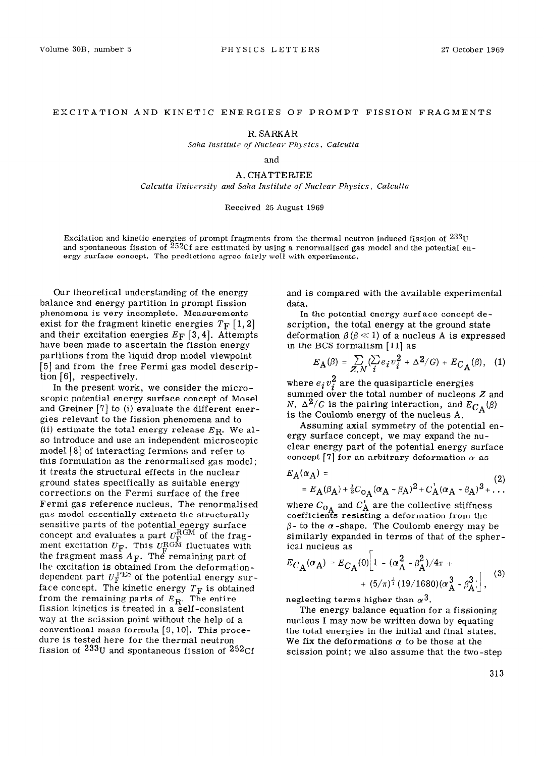## EXCITATION AND KINETIC ENERGIES OF PROMPT FISSION FRAGMENTS

R. SARKAR

*Saha Institute of Nuclear Physics. Calcutta* 

and

A. CHATTERJEE

*Calcutta University and Saha Institute of Nuclear Physics, Calcutta* 

## Received 25 August 1969

Excitation and kinetic energies of prompt fragments from the thermal neutron induced fission of  $233$ U and spontaneous fission of 252Cf are estimated by using a renormalised gas model and the potential energy surface concept. The predictions agree fairly well with experiments.

Our theoretical understanding of the energy balance and energy partition in prompt fission phenomena is very incomplete. Measurements exist for the fragment kinetic energies  $T_F$  [1, 2] and their excitation energies  $E_F$  [3,4]. Attempts have been made to ascertain the fission energy partitions from the liquid drop model viewpoint [5] and from the free Fermi gas model description  $[6]$ , respectively.

In the present work, we consider the microscopic potential energy surface concept of Mosel and Greiner  $[7]$  to (i) evaluate the different energies relevant to the fission phenomena and to (ii) estimate the total energy release  $E_R$ . We also introduce and use an independent microscopic model [8] of interacting fermions and refer to this formulation as the renormalised gas model; it treats the structural effects in the nuclear ground states specifically as suitable energy corrections on the Fermi surface of the free Fermi gas reference nucleus. The renormalised gas model essentially extracts the structurally sensitive parts of the potential energy surface concept and evaluates a part  $U_{\rm F}^{\rm norm}$  of the frag ment excitation  $U_{\bf F}$ . This  $U_{\bf E}^{\rm RGM}$  fluctuates with the fragment mass *AF.* The remaining part of the excitation is obtained from the deformationdependent part  $U<sub>F</sub><sup>PES</sup>$  of the potential energy surface concept. The kinetic energy  $T_{\rm F}$  is obtained from the remaining parts of  $E_{\mathbf{R}}.$  The entire fission kinetics is treated in a self-consistent way at the scission point without the help of a conventional mass formula  $[9, 10]$ . This procedure is tested here for the thermal neutron fission of  $233U$  and spontaneous fission of  $252Cf$ 

and is compared with the available experimental data.

In the potential energy surf ace concept description, the total energy at the ground state deformation  $\beta$  ( $\beta$   $\ll$  1) of a nucleus A is expressed in the BCS formalism [ll] as

$$
E_{\mathbf{A}}(\beta) = \sum_{Z,N} (\sum_{i} e_i v_i^2 + \Delta^2/G) + E_{C_{\mathbf{A}}}(\beta), \quad (1)
$$

where  $e_i v_i^2$  are the quasiparticle energies summed over the total number of nucleons  $Z$  and N,  $\Delta^2/G$  is the pairing interaction, and  $E_{C_A}(\beta)$ is the Coulomb energy of the nucleus A.

Assuming axial symmetry of the potential energy surface concept, we may expand the nuclear energy part of the potential energy surface concept [7] for an arbitrary deformation  $\alpha$  as

$$
E_{A}(\alpha_{A}) =
$$
  
=  $E_{A}(\beta_{A}) + \frac{1}{2}C_{0A}(\alpha_{A} - \beta_{A})^{2} + C_{A}^{^{\dagger}}(\alpha_{A} - \beta_{A})^{3} + ...$  (2)

where  $C_{\mathbf{0}}$ îf, and  $C_{\rm A}$  are the collective stiffnes coefficients resisting a deformation from the  $\beta$ - to the  $\alpha$ -shape. The Coulomb energy may be similarly expanded in terms of that of the spherical nucleus as

$$
E_{C_{\text{A}}}(\alpha_{\text{A}}) = E_{C_{\text{A}}}(0) \left[ 1 - (\alpha_{\text{A}}^2 - \beta_{\text{A}}^2)/4\pi + (5/\pi)^{\frac{3}{2}} (19/1680)(\alpha_{\text{A}}^3 - \beta_{\text{A}}^3) \right], \quad (3)
$$

neglecting terms higher than  $\alpha^3$ .

The energy balance equation for a fissioning nucleus I may now be written down by equating the total energies in the initial and final states. We fix the deformations  $\alpha$  to be those at the scission point; we also assume that the two-step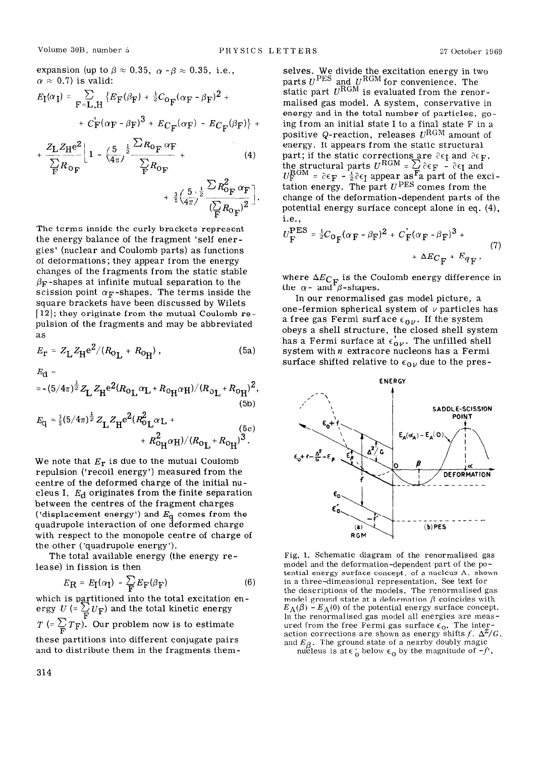expansion (up to  $\beta \approx 0.35$ ,  $\alpha - \beta \approx 0.35$ , i.e.,  $\alpha \approx 0.7$ ) is valid:

$$
E_{\mathbf{I}}(\alpha_{\mathbf{I}}) = \sum_{\mathbf{F} = \mathbf{L}, \mathbf{H}} \left\{ E_{\mathbf{F}}(\beta_{\mathbf{F}}) + \frac{1}{2} C_{\mathbf{O}_{\mathbf{F}}} (\alpha_{\mathbf{F}} - \beta_{\mathbf{F}})^2 + \right. \\
\left. + C_{\mathbf{F}} (\alpha_{\mathbf{F}} - \beta_{\mathbf{F}})^3 + E_{C_{\mathbf{F}}} (\alpha_{\mathbf{F}}) - E_{C_{\mathbf{F}}} (\beta_{\mathbf{F}}) \right\} +
$$

$$
+\frac{Z_{\rm L}Z_{\rm H}e^{2}}{\sum_{\rm F}R_{\rm O_{\rm F}}}\left[1-\left(\frac{5}{4\pi}\right)^{\frac{1}{2}}\frac{\sum_{\rm R_{\rm O_{\rm F}}}\alpha_{\rm F}}{\sum_{\rm F}R_{\rm O_{\rm F}}}\right]+\frac{(\rm 4)}{\sum_{\rm S}\left(\frac{5}{4\pi}\right)^{\frac{1}{2}}}\frac{\sum_{\rm R_{\rm O_{\rm F}}^2}\alpha_{\rm F}}{\left(\sum_{\rm F}R_{\rm O_{\rm F}}\right)^{2}}\right].
$$

The terms inside the curly brackets represent the energy balance of the fragment 'self energies' (nuclear and Coulomb parts) as functions of deformations; they appear from the energy changes of the fragments from the static stable  $\beta_F$ -shapes at infinite mutual separation to the scission point  $\alpha_F$ -shapes. The terms inside the square brackets have been discussed by Wilets [ 12); they originate from the mutual Coulomb repulsion of the fragments and may be abbreviated as

$$
E_{\rm r} = Z_{\rm L} Z_{\rm H} e^{2} / (R_{\rm O_{\rm L}} + R_{\rm O_{\rm H}}),
$$
 (5a) system with *n* extreme nucleons has a Fermi  
surface shifted relative to  $\epsilon_{\rm L}$ , due to the pres.

$$
E_{\mathbf{d}} =
$$

$$
=-(5/4\pi)^{\frac{1}{2}}Z_{\mathbf{L}}Z_{\mathbf{H}}e^{2(R_{\mathbf{O_{\mathbf{L}}}}\alpha_{\mathbf{L}}+R_{\mathbf{O_{\mathbf{H}}}}\alpha_{\mathbf{H}})/(R_{\mathbf{O_{\mathbf{L}}}}+R_{\mathbf{O_{\mathbf{H}}}})^{2},
$$
\n(5b)

$$
E_{\rm q} = \frac{3}{5}(5/4\pi)^{\frac{1}{2}} Z_{\rm L} Z_{\rm H} e^{2} (R_{\rm 0 L}^{2} \alpha_{\rm L} + R_{\rm 0 H}^{2}) / (R_{\rm 0 L} + R_{\rm 0 H})^{3}.
$$
\n(5c)

We note that *Er* is due to the mutual Coulomb repulsion ('recoil energy') measured from the centre of the deformed charge of the initial nucleus I,  $E_d$  originates from the finite separation between the centres of the fragment charges ('displacement energy') and *Eq* comes from the quadrupole interaction of one deformed charge with respect to the monopole centre of charge of the other ('quadrupole energy').

The total available energy (the energy release) in fission is then

$$
E_{\mathbf{R}} = E_{\mathbf{I}}(\alpha_{\mathbf{I}}) - \sum_{\mathbf{F}} E_{\mathbf{F}}(\beta_{\mathbf{F}})
$$
(6)

which is partitioned into the total excitation energy  $U = \sum_{\mathbf{F}} U_{\mathbf{F}}$  and the total kinetic energy  $T = \sum_{\mathbf{F}} T_{\mathbf{F}}$ . Our problem now is to estimate

these partitions into different conjugate pairs and to distribute them in the fragments them-

selves. We divide the excitation energy in two parts  $U^{TES}$  and  $U^{NOM}$  for convenience. The static part  $U^{\rm NGM}$  is evaluated from the renor malised gas model. A system, conservative in energy and in the total number of particles, going from an initial state I to a final state F in a positive Q-reaction, releases  $U^{\rm RGM}$  amount of energy. It appears from the static structural part; if the static corrections are  $\partial \epsilon_{\rm F}$  and  $\partial \epsilon_{\rm F}$ the structural parts  $U^{\text{NGB}} = \mathcal{L}$   $\partial \epsilon_{\text{F}}$  -  $\partial \epsilon_{\text{I}}$  and  $= \partial \epsilon_{\mathbf{F}} - \frac{1}{2}\partial \epsilon_{\mathbf{I}}$  appear as a part of the exci tation energy. The part  $U^{\text{PED}}$  comes from the change of the deformation-dependent parts of the potential energy surface concept alone in eq. (4), i.e.,

$$
U_{\mathbf{F}}^{\text{PES}} = \frac{1}{2} C_{\mathbf{O}_{\mathbf{F}}} (\alpha_{\mathbf{F}} - \beta_{\mathbf{F}})^2 + C_{\mathbf{F}} (\alpha_{\mathbf{F}} - \beta_{\mathbf{F}})^3 +
$$
  
+  $\Delta E_{\mathbf{C}_{\mathbf{F}}} + E_{q_{\mathbf{F}}},$  (7)

where  $\Delta E_{C_{\rm T}}$  is the Coulomb energy difference in the  $\alpha$ - and  $\beta$ -shapes

In our renormalised gas model picture, a one-fermion spherical system of  $\nu$  particles has a free gas Fermi surface  $\epsilon_{0\nu}$ . If the system obeys a shell structure, the closed shell system has a Fermi surface at  $\epsilon'_{0\nu}$ . The unfilled shell surface shifted relative to  $\epsilon_{0\nu}$  due to the pres-



Fig. 1. Schematic diagram of the renormalised gas model and the deformation-dependent part of the potential energy surface concept. of a nucleus A. shown in a three-dimensional representation. See text for the descriptions of the models. The renormalised gas model ground state at a deformation  $\beta$  coincides with  $E_A(\beta) - E_A(0)$  of the potential energy surface concept. In the renormalised gas model all energies are measured from the free Fermi gas surface  $\epsilon_0$ . The interaction corrections are shown as energy shifts  $f$ ,  $\Delta^2/G$ . and  $E_\beta$ . The ground state of a nearby doubly magic

nucleus is at  $\epsilon_0$  below  $\epsilon_0$  by the magnitude of -f.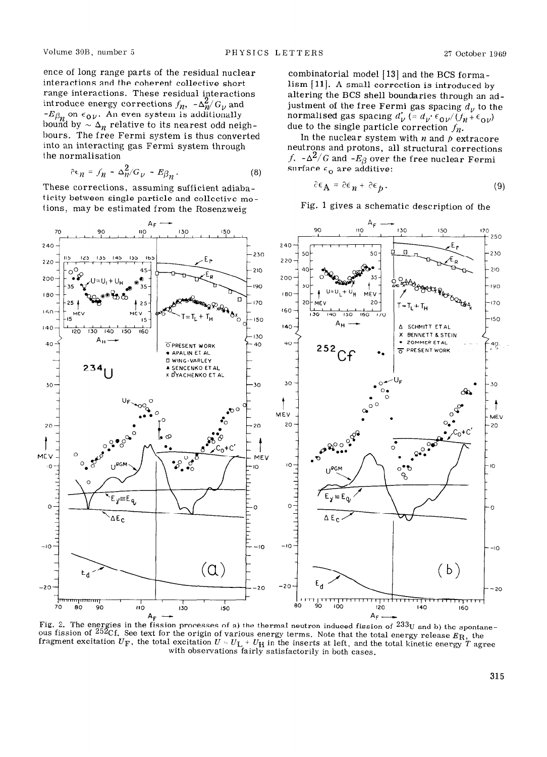ence of long range parts of the residual nuclear interactions and the coherent collective short range interactions. These residual interactions  $-E\beta_n$  on  $\epsilon_{0\nu}$ . An even system is additionall bound by  $\sim \Delta_{\bm n}$  relative to its nearest odd neighbours. The free Fermi system is thus converted into an interacting gas Fermi system through the normalisation

$$
\partial \epsilon_{n} = f_{n} - \Delta_{n}^{2}/G_{\nu} - E_{\beta_{n}}.
$$
 (8)

These corrections, assuming sufficient adiabaticity between single particle and collective molions, may be estimated from the Rosenzweig

**AF - \*F - 90 I!0 130 150 170 I**  $\frac{1}{250}$ 240 240 230 230 220 220  $210$  $210$ 200 200 190 190 180 180  $70$  $T = T_1 + T_H$  range  $T^{170}$ **-1 2OtMEV 20-1**  160 k------ 140 150 160 170  $160 -$ -150  $15$ 50 140-  $A_H =$ **A SCHMITT ETAL**   $140$  $\frac{1}{120}$  $\overline{130}$  $\frac{1}{140}$  $150$  $160$  $\,<$ **X BENNETT 8 STEIN**  130  $A_H$ **ZOMMER ETAL**  $\begin{bmatrix} 40 \\ 40 \end{bmatrix}$ 40 40 40- OPRESENT WORK  $^{252}$ Cf  $\cdot$  $\overline{\sigma}$  PRESENT WORK 'APALIN ET AL **0 WING-VARLEY**  <sup>234</sup>U . **SENCENKO ETAL DYACHENKO ET AL**  $\bullet$  o<sup>mult</sup> 30- **J** 30  $\rightarrow$  **J** 30  $\rightarrow$  **J** 30  $\rightarrow$  **J** 30  $\ddagger$ t : **MEV \_**  MEV **20-**   $20$ **20**  20 **t**   $MEV$ **0 -** MEV ′Ժ 10-  $\overline{O}$ ю **<sup>0</sup>**.  $\circ$ , **0** 10 **10** o,  $\left(\begin{array}{c} \downarrow \downarrow \downarrow \downarrow \downarrow \downarrow \end{array}\right)$  $y = E_q$  $E_y = E_0$ o  $\circ$ o o  $\Delta E_C$  $\Delta E_C$ ٠ıc ٠l٥  $-10$  $-IQ$ **1 l-,** Ed' **(a)**   $(b)$  $\boldsymbol{\epsilon}_{\text{d}}$ -20 <sup>-20</sup> -20 <sup>-20</sup>  $-20$ ा<br>90 ┲  $60$ лòо 70  $80$ 90  $\overline{10}$  $130$  $150$  $120$  $140$  $160$ 

Fig. 2. The energies in the fission processes of a) the thermal neutron induced fission of  $233y$  and b) the processes of a) the thermal neutron induced fission of  $233y$  and b) the processes of a) the thermal neutron ind ous fission of  $^{252}Cf$ . in the fission processes of a) the thermal neutron induced fission of  $^{233}$ U and b) the spontane-See text for the origin of various energy terms. Note that the total energy release  $E_{\mathrm{R}_\perp}$  the fragment excitation  $U_F$ , the total excitation  $U = U_L + U_H$  in the inserts at left, and the total kinetic energy T agree with observations fairly satisfactorily in both cases.

introduce energy corrections  $f_n$ ,  $-\Delta_n^2/G_y$  and *zymuthers in the general systems d<sub>i</sub>* to the combinatorial model  $[13]$  and the BCS formalism [ll]. A small correction is introduced by altering the BCS shell boundaries through an adjustment of the free Fermi gas spacing  $d<sub>v</sub>$  to the normalised gas spacing  $d'_v$  (=  $d_v \cdot \epsilon_{0v}/(f_h + \epsilon_{0v})$ due to the single particle correction  $f_n$ .

In the nuclear system with  $n$  and  $p$  extracore neutrons and protons, all structural corrections f.  $-\Delta^2/G$  and  $-E_R$  over the free nuclear Ferm surface  $\epsilon_{\mathbf{o}}$  are additive

$$
\hat{c}\epsilon_{\mathbf{A}} = \hat{c}\epsilon_{n} + \hat{c}\epsilon_{p}.
$$
 (9)

Fig. 1 gives a schematic description of the